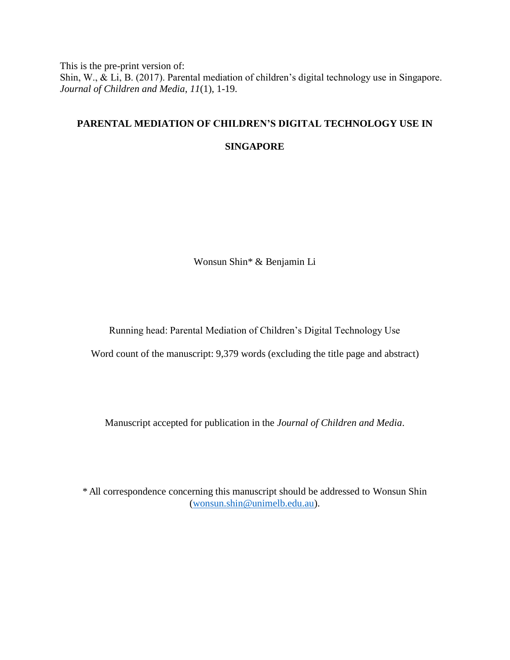This is the pre-print version of: Shin, W., & Li, B. (2017). Parental mediation of children's digital technology use in Singapore. *Journal of Children and Media*, *11*(1), 1-19.

# **PARENTAL MEDIATION OF CHILDREN'S DIGITAL TECHNOLOGY USE IN**

# **SINGAPORE**

Wonsun Shin\* & Benjamin Li

Running head: Parental Mediation of Children's Digital Technology Use

Word count of the manuscript: 9,379 words (excluding the title page and abstract)

Manuscript accepted for publication in the *Journal of Children and Media*.

\* All correspondence concerning this manuscript should be addressed to Wonsun Shin [\(wonsun.shin@unimelb.edu.au\)](mailto:wonsun.shin@unimelb.edu.au).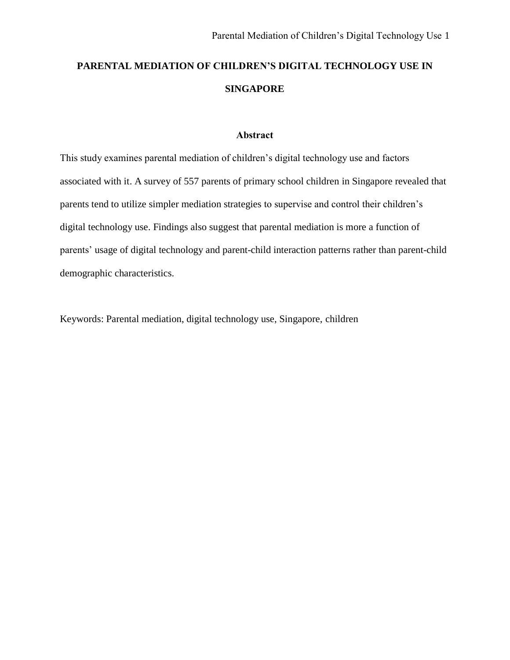# **PARENTAL MEDIATION OF CHILDREN'S DIGITAL TECHNOLOGY USE IN SINGAPORE**

# **Abstract**

This study examines parental mediation of children's digital technology use and factors associated with it. A survey of 557 parents of primary school children in Singapore revealed that parents tend to utilize simpler mediation strategies to supervise and control their children's digital technology use. Findings also suggest that parental mediation is more a function of parents' usage of digital technology and parent-child interaction patterns rather than parent-child demographic characteristics.

Keywords: Parental mediation, digital technology use, Singapore, children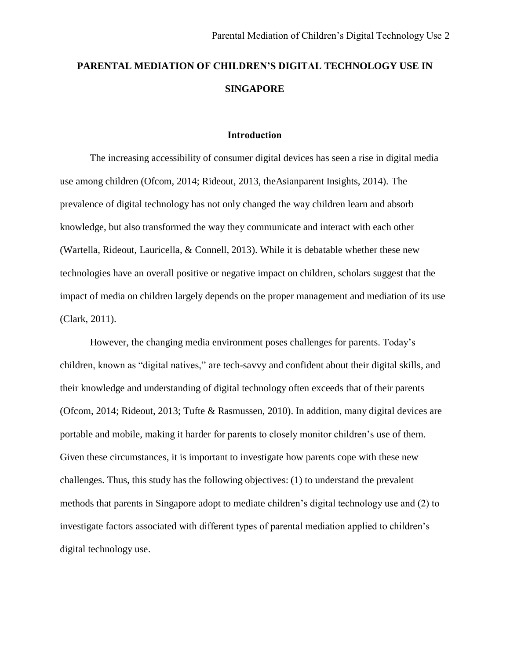# **PARENTAL MEDIATION OF CHILDREN'S DIGITAL TECHNOLOGY USE IN SINGAPORE**

#### **Introduction**

The increasing accessibility of consumer digital devices has seen a rise in digital media use among children (Ofcom, 2014; Rideout, 2013, theAsianparent Insights, 2014). The prevalence of digital technology has not only changed the way children learn and absorb knowledge, but also transformed the way they communicate and interact with each other (Wartella, Rideout, Lauricella, & Connell, 2013). While it is debatable whether these new technologies have an overall positive or negative impact on children, scholars suggest that the impact of media on children largely depends on the proper management and mediation of its use (Clark, 2011).

However, the changing media environment poses challenges for parents. Today's children, known as "digital natives," are tech-savvy and confident about their digital skills, and their knowledge and understanding of digital technology often exceeds that of their parents (Ofcom, 2014; Rideout, 2013; Tufte & Rasmussen, 2010). In addition, many digital devices are portable and mobile, making it harder for parents to closely monitor children's use of them. Given these circumstances, it is important to investigate how parents cope with these new challenges. Thus, this study has the following objectives: (1) to understand the prevalent methods that parents in Singapore adopt to mediate children's digital technology use and (2) to investigate factors associated with different types of parental mediation applied to children's digital technology use.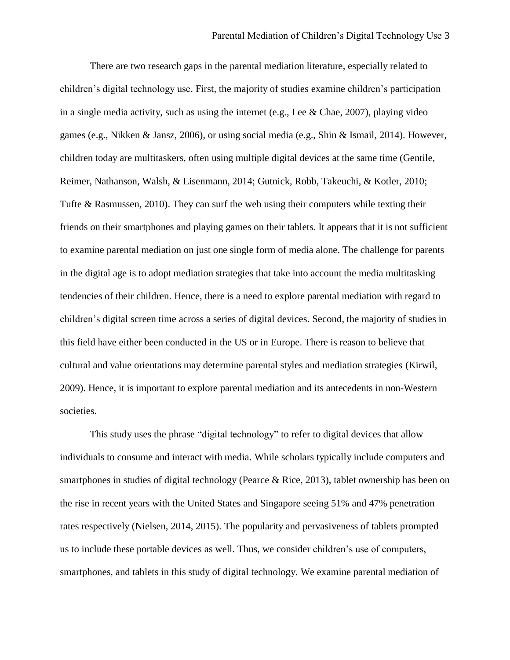There are two research gaps in the parental mediation literature, especially related to children's digital technology use. First, the majority of studies examine children's participation in a single media activity, such as using the internet (e.g., Lee & Chae, 2007), playing video games (e.g., Nikken & Jansz, 2006), or using social media (e.g., Shin & Ismail, 2014). However, children today are multitaskers, often using multiple digital devices at the same time (Gentile, Reimer, Nathanson, Walsh, & Eisenmann, 2014; Gutnick, Robb, Takeuchi, & Kotler, 2010; Tufte & Rasmussen, 2010). They can surf the web using their computers while texting their friends on their smartphones and playing games on their tablets. It appears that it is not sufficient to examine parental mediation on just one single form of media alone. The challenge for parents in the digital age is to adopt mediation strategies that take into account the media multitasking tendencies of their children. Hence, there is a need to explore parental mediation with regard to children's digital screen time across a series of digital devices. Second, the majority of studies in this field have either been conducted in the US or in Europe. There is reason to believe that cultural and value orientations may determine parental styles and mediation strategies (Kirwil, 2009). Hence, it is important to explore parental mediation and its antecedents in non-Western societies.

This study uses the phrase "digital technology" to refer to digital devices that allow individuals to consume and interact with media. While scholars typically include computers and smartphones in studies of digital technology (Pearce & Rice, 2013), tablet ownership has been on the rise in recent years with the United States and Singapore seeing 51% and 47% penetration rates respectively (Nielsen, 2014, 2015). The popularity and pervasiveness of tablets prompted us to include these portable devices as well. Thus, we consider children's use of computers, smartphones, and tablets in this study of digital technology. We examine parental mediation of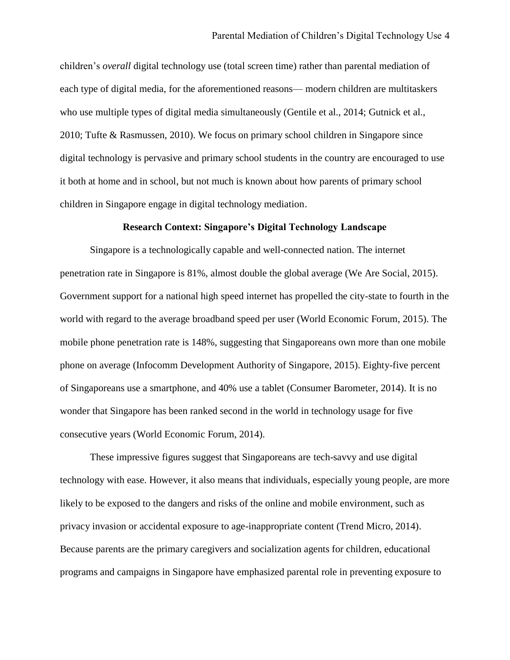children's *overall* digital technology use (total screen time) rather than parental mediation of each type of digital media, for the aforementioned reasons— modern children are multitaskers who use multiple types of digital media simultaneously (Gentile et al., 2014; Gutnick et al., 2010; Tufte & Rasmussen, 2010). We focus on primary school children in Singapore since digital technology is pervasive and primary school students in the country are encouraged to use it both at home and in school, but not much is known about how parents of primary school children in Singapore engage in digital technology mediation.

#### **Research Context: Singapore's Digital Technology Landscape**

Singapore is a technologically capable and well-connected nation. The internet penetration rate in Singapore is 81%, almost double the global average (We Are Social, 2015). Government support for a national high speed internet has propelled the city-state to fourth in the world with regard to the average broadband speed per user (World Economic Forum, 2015). The mobile phone penetration rate is 148%, suggesting that Singaporeans own more than one mobile phone on average (Infocomm Development Authority of Singapore, 2015). Eighty-five percent of Singaporeans use a smartphone, and 40% use a tablet (Consumer Barometer, 2014). It is no wonder that Singapore has been ranked second in the world in technology usage for five consecutive years (World Economic Forum, 2014).

These impressive figures suggest that Singaporeans are tech-savvy and use digital technology with ease. However, it also means that individuals, especially young people, are more likely to be exposed to the dangers and risks of the online and mobile environment, such as privacy invasion or accidental exposure to age-inappropriate content (Trend Micro, 2014). Because parents are the primary caregivers and socialization agents for children, educational programs and campaigns in Singapore have emphasized parental role in preventing exposure to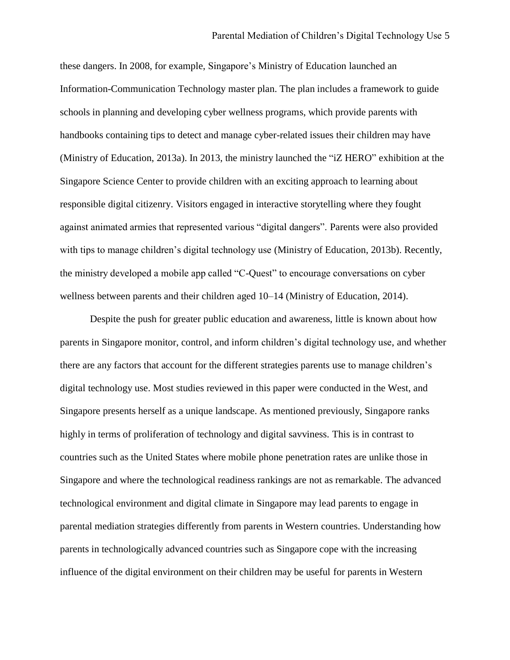these dangers. In 2008, for example, Singapore's Ministry of Education launched an Information-Communication Technology master plan. The plan includes a framework to guide schools in planning and developing cyber wellness programs, which provide parents with handbooks containing tips to detect and manage cyber-related issues their children may have (Ministry of Education, 2013a). In 2013, the ministry launched the "iZ HERO" exhibition at the Singapore Science Center to provide children with an exciting approach to learning about responsible digital citizenry. Visitors engaged in interactive storytelling where they fought against animated armies that represented various "digital dangers". Parents were also provided with tips to manage children's digital technology use (Ministry of Education, 2013b). Recently, the ministry developed a mobile app called "C-Quest" to encourage conversations on cyber wellness between parents and their children aged 10–14 (Ministry of Education, 2014).

Despite the push for greater public education and awareness, little is known about how parents in Singapore monitor, control, and inform children's digital technology use, and whether there are any factors that account for the different strategies parents use to manage children's digital technology use. Most studies reviewed in this paper were conducted in the West, and Singapore presents herself as a unique landscape. As mentioned previously, Singapore ranks highly in terms of proliferation of technology and digital savviness. This is in contrast to countries such as the United States where mobile phone penetration rates are unlike those in Singapore and where the technological readiness rankings are not as remarkable. The advanced technological environment and digital climate in Singapore may lead parents to engage in parental mediation strategies differently from parents in Western countries. Understanding how parents in technologically advanced countries such as Singapore cope with the increasing influence of the digital environment on their children may be useful for parents in Western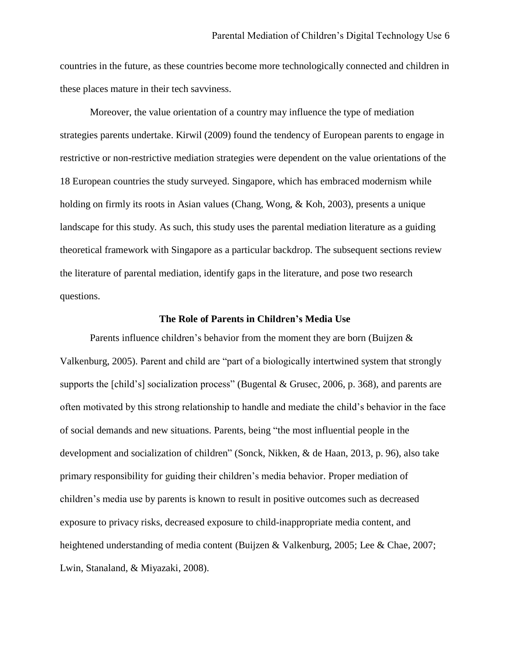countries in the future, as these countries become more technologically connected and children in these places mature in their tech savviness.

Moreover, the value orientation of a country may influence the type of mediation strategies parents undertake. Kirwil (2009) found the tendency of European parents to engage in restrictive or non-restrictive mediation strategies were dependent on the value orientations of the 18 European countries the study surveyed. Singapore, which has embraced modernism while holding on firmly its roots in Asian values (Chang, Wong, & Koh, 2003), presents a unique landscape for this study. As such, this study uses the parental mediation literature as a guiding theoretical framework with Singapore as a particular backdrop. The subsequent sections review the literature of parental mediation, identify gaps in the literature, and pose two research questions.

# **The Role of Parents in Children's Media Use**

Parents influence children's behavior from the moment they are born (Buijzen & Valkenburg, 2005). Parent and child are "part of a biologically intertwined system that strongly supports the [child's] socialization process" (Bugental & Grusec, 2006, p. 368), and parents are often motivated by this strong relationship to handle and mediate the child's behavior in the face of social demands and new situations. Parents, being "the most influential people in the development and socialization of children" (Sonck, Nikken, & de Haan, 2013, p. 96), also take primary responsibility for guiding their children's media behavior. Proper mediation of children's media use by parents is known to result in positive outcomes such as decreased exposure to privacy risks, decreased exposure to child-inappropriate media content, and heightened understanding of media content (Buijzen & Valkenburg, 2005; Lee & Chae, 2007; Lwin, Stanaland, & Miyazaki, 2008).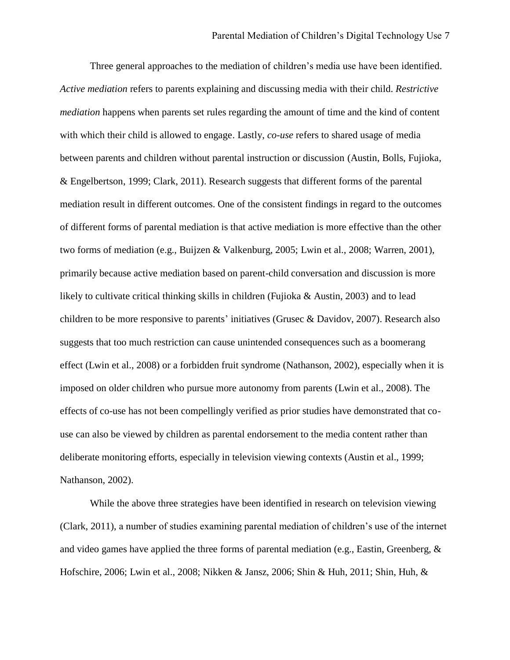Three general approaches to the mediation of children's media use have been identified. *Active mediation* refers to parents explaining and discussing media with their child. *Restrictive mediation* happens when parents set rules regarding the amount of time and the kind of content with which their child is allowed to engage. Lastly, *co-use* refers to shared usage of media between parents and children without parental instruction or discussion (Austin, Bolls, Fujioka, & Engelbertson, 1999; Clark, 2011). Research suggests that different forms of the parental mediation result in different outcomes. One of the consistent findings in regard to the outcomes of different forms of parental mediation is that active mediation is more effective than the other two forms of mediation (e.g., Buijzen & Valkenburg, 2005; Lwin et al., 2008; Warren, 2001), primarily because active mediation based on parent-child conversation and discussion is more likely to cultivate critical thinking skills in children (Fujioka & Austin, 2003) and to lead children to be more responsive to parents' initiatives (Grusec & Davidov, 2007). Research also suggests that too much restriction can cause unintended consequences such as a boomerang effect (Lwin et al., 2008) or a forbidden fruit syndrome (Nathanson, 2002), especially when it is imposed on older children who pursue more autonomy from parents (Lwin et al., 2008). The effects of co-use has not been compellingly verified as prior studies have demonstrated that couse can also be viewed by children as parental endorsement to the media content rather than deliberate monitoring efforts, especially in television viewing contexts (Austin et al., 1999; Nathanson, 2002).

While the above three strategies have been identified in research on television viewing (Clark, 2011), a number of studies examining parental mediation of children's use of the internet and video games have applied the three forms of parental mediation (e.g., Eastin, Greenberg,  $\&$ Hofschire, 2006; Lwin et al., 2008; Nikken & Jansz, 2006; Shin & Huh, 2011; Shin, Huh, &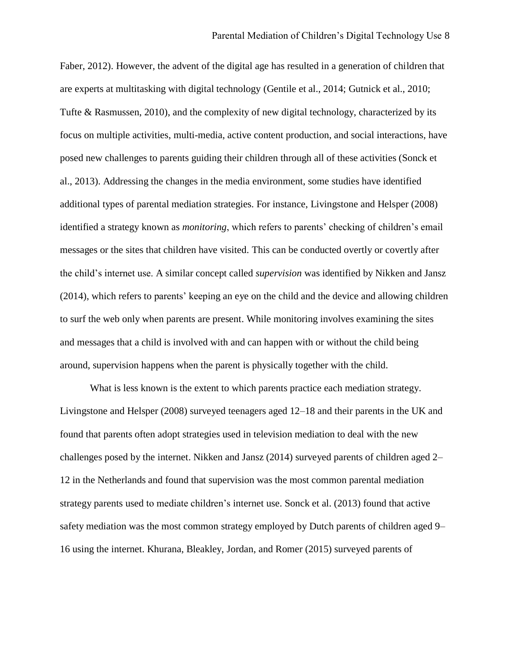Faber, 2012). However, the advent of the digital age has resulted in a generation of children that are experts at multitasking with digital technology (Gentile et al., 2014; Gutnick et al., 2010; Tufte & Rasmussen, 2010), and the complexity of new digital technology, characterized by its focus on multiple activities, multi-media, active content production, and social interactions, have posed new challenges to parents guiding their children through all of these activities (Sonck et al., 2013). Addressing the changes in the media environment, some studies have identified additional types of parental mediation strategies. For instance, Livingstone and Helsper (2008) identified a strategy known as *monitoring*, which refers to parents' checking of children's email messages or the sites that children have visited. This can be conducted overtly or covertly after the child's internet use. A similar concept called *supervision* was identified by Nikken and Jansz (2014), which refers to parents' keeping an eye on the child and the device and allowing children to surf the web only when parents are present. While monitoring involves examining the sites and messages that a child is involved with and can happen with or without the child being around, supervision happens when the parent is physically together with the child.

What is less known is the extent to which parents practice each mediation strategy. Livingstone and Helsper (2008) surveyed teenagers aged 12–18 and their parents in the UK and found that parents often adopt strategies used in television mediation to deal with the new challenges posed by the internet. Nikken and Jansz (2014) surveyed parents of children aged 2– 12 in the Netherlands and found that supervision was the most common parental mediation strategy parents used to mediate children's internet use. Sonck et al. (2013) found that active safety mediation was the most common strategy employed by Dutch parents of children aged 9– 16 using the internet. Khurana, Bleakley, Jordan, and Romer (2015) surveyed parents of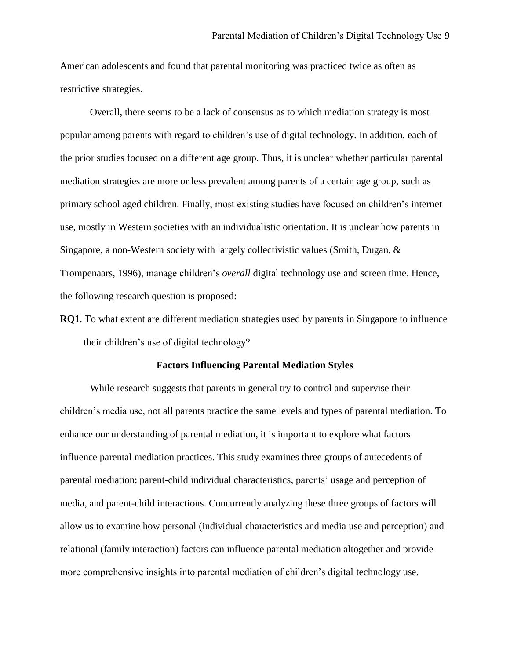American adolescents and found that parental monitoring was practiced twice as often as restrictive strategies.

Overall, there seems to be a lack of consensus as to which mediation strategy is most popular among parents with regard to children's use of digital technology. In addition, each of the prior studies focused on a different age group. Thus, it is unclear whether particular parental mediation strategies are more or less prevalent among parents of a certain age group, such as primary school aged children. Finally, most existing studies have focused on children's internet use, mostly in Western societies with an individualistic orientation. It is unclear how parents in Singapore, a non-Western society with largely collectivistic values (Smith, Dugan, & Trompenaars, 1996), manage children's *overall* digital technology use and screen time. Hence, the following research question is proposed:

**RQ1**. To what extent are different mediation strategies used by parents in Singapore to influence their children's use of digital technology?

#### **Factors Influencing Parental Mediation Styles**

While research suggests that parents in general try to control and supervise their children's media use, not all parents practice the same levels and types of parental mediation. To enhance our understanding of parental mediation, it is important to explore what factors influence parental mediation practices. This study examines three groups of antecedents of parental mediation: parent-child individual characteristics, parents' usage and perception of media, and parent-child interactions. Concurrently analyzing these three groups of factors will allow us to examine how personal (individual characteristics and media use and perception) and relational (family interaction) factors can influence parental mediation altogether and provide more comprehensive insights into parental mediation of children's digital technology use.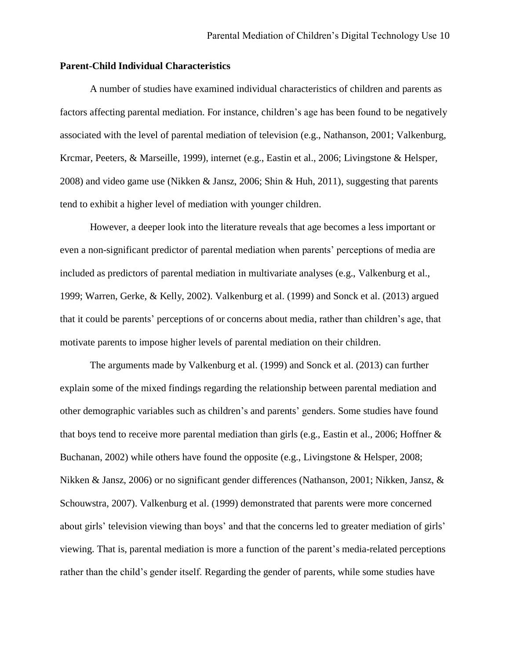# **Parent-Child Individual Characteristics**

A number of studies have examined individual characteristics of children and parents as factors affecting parental mediation. For instance, children's age has been found to be negatively associated with the level of parental mediation of television (e.g., Nathanson, 2001; Valkenburg, Krcmar, Peeters, & Marseille, 1999), internet (e.g., Eastin et al., 2006; Livingstone & Helsper, 2008) and video game use (Nikken & Jansz, 2006; Shin & Huh, 2011), suggesting that parents tend to exhibit a higher level of mediation with younger children.

However, a deeper look into the literature reveals that age becomes a less important or even a non-significant predictor of parental mediation when parents' perceptions of media are included as predictors of parental mediation in multivariate analyses (e.g., Valkenburg et al., 1999; Warren, Gerke, & Kelly, 2002). Valkenburg et al. (1999) and Sonck et al. (2013) argued that it could be parents' perceptions of or concerns about media, rather than children's age, that motivate parents to impose higher levels of parental mediation on their children.

The arguments made by Valkenburg et al. (1999) and Sonck et al. (2013) can further explain some of the mixed findings regarding the relationship between parental mediation and other demographic variables such as children's and parents' genders. Some studies have found that boys tend to receive more parental mediation than girls (e.g., Eastin et al., 2006; Hoffner & Buchanan, 2002) while others have found the opposite (e.g., Livingstone & Helsper, 2008; Nikken & Jansz, 2006) or no significant gender differences (Nathanson, 2001; Nikken, Jansz, & Schouwstra, 2007). Valkenburg et al. (1999) demonstrated that parents were more concerned about girls' television viewing than boys' and that the concerns led to greater mediation of girls' viewing. That is, parental mediation is more a function of the parent's media-related perceptions rather than the child's gender itself. Regarding the gender of parents, while some studies have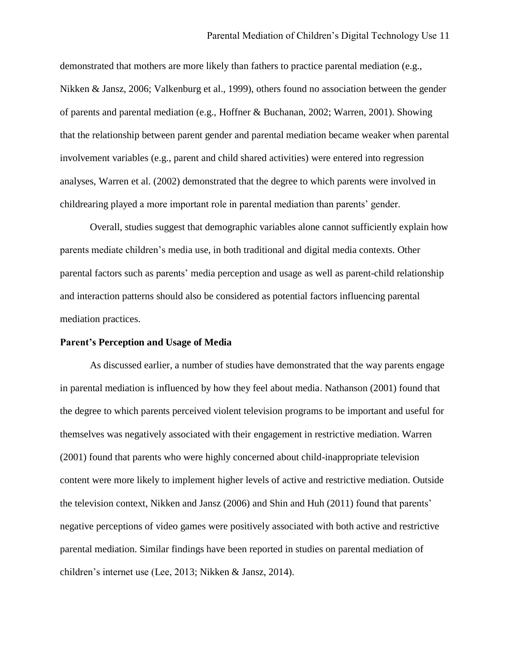demonstrated that mothers are more likely than fathers to practice parental mediation (e.g., Nikken & Jansz, 2006; Valkenburg et al., 1999), others found no association between the gender of parents and parental mediation (e.g., Hoffner & Buchanan, 2002; Warren, 2001). Showing that the relationship between parent gender and parental mediation became weaker when parental involvement variables (e.g., parent and child shared activities) were entered into regression analyses, Warren et al. (2002) demonstrated that the degree to which parents were involved in childrearing played a more important role in parental mediation than parents' gender.

Overall, studies suggest that demographic variables alone cannot sufficiently explain how parents mediate children's media use, in both traditional and digital media contexts. Other parental factors such as parents' media perception and usage as well as parent-child relationship and interaction patterns should also be considered as potential factors influencing parental mediation practices.

#### **Parent's Perception and Usage of Media**

As discussed earlier, a number of studies have demonstrated that the way parents engage in parental mediation is influenced by how they feel about media. Nathanson (2001) found that the degree to which parents perceived violent television programs to be important and useful for themselves was negatively associated with their engagement in restrictive mediation. Warren (2001) found that parents who were highly concerned about child-inappropriate television content were more likely to implement higher levels of active and restrictive mediation. Outside the television context, Nikken and Jansz (2006) and Shin and Huh (2011) found that parents' negative perceptions of video games were positively associated with both active and restrictive parental mediation. Similar findings have been reported in studies on parental mediation of children's internet use (Lee, 2013; Nikken & Jansz, 2014).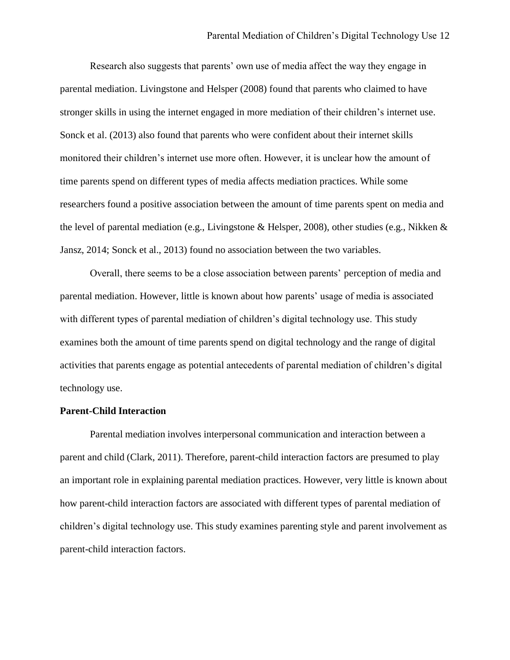Research also suggests that parents' own use of media affect the way they engage in parental mediation. Livingstone and Helsper (2008) found that parents who claimed to have stronger skills in using the internet engaged in more mediation of their children's internet use. Sonck et al. (2013) also found that parents who were confident about their internet skills monitored their children's internet use more often. However, it is unclear how the amount of time parents spend on different types of media affects mediation practices. While some researchers found a positive association between the amount of time parents spent on media and the level of parental mediation (e.g., Livingstone & Helsper, 2008), other studies (e.g., Nikken & Jansz, 2014; Sonck et al., 2013) found no association between the two variables.

Overall, there seems to be a close association between parents' perception of media and parental mediation. However, little is known about how parents' usage of media is associated with different types of parental mediation of children's digital technology use. This study examines both the amount of time parents spend on digital technology and the range of digital activities that parents engage as potential antecedents of parental mediation of children's digital technology use.

#### **Parent-Child Interaction**

Parental mediation involves interpersonal communication and interaction between a parent and child (Clark, 2011). Therefore, parent-child interaction factors are presumed to play an important role in explaining parental mediation practices. However, very little is known about how parent-child interaction factors are associated with different types of parental mediation of children's digital technology use. This study examines parenting style and parent involvement as parent-child interaction factors.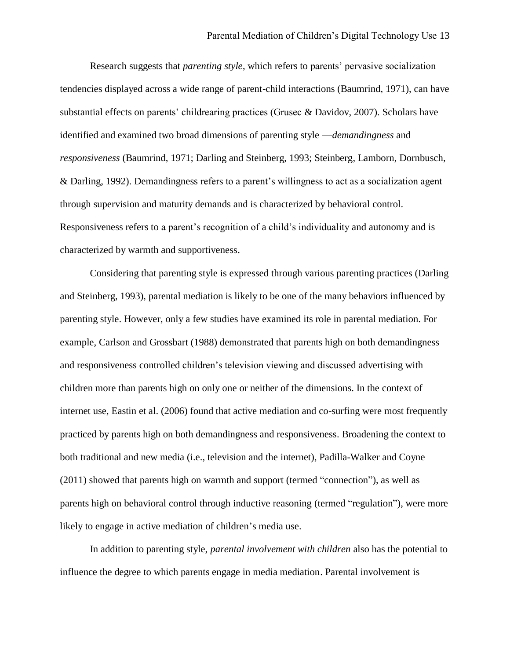Research suggests that *parenting style*, which refers to parents' pervasive socialization tendencies displayed across a wide range of parent-child interactions (Baumrind, 1971), can have substantial effects on parents' childrearing practices (Grusec & Davidov, 2007). Scholars have identified and examined two broad dimensions of parenting style —*demandingness* and *responsiveness* (Baumrind, 1971; Darling and Steinberg, 1993; Steinberg, Lamborn, Dornbusch, & Darling, 1992). Demandingness refers to a parent's willingness to act as a socialization agent through supervision and maturity demands and is characterized by behavioral control. Responsiveness refers to a parent's recognition of a child's individuality and autonomy and is characterized by warmth and supportiveness.

Considering that parenting style is expressed through various parenting practices (Darling and Steinberg, 1993), parental mediation is likely to be one of the many behaviors influenced by parenting style. However, only a few studies have examined its role in parental mediation. For example, Carlson and Grossbart (1988) demonstrated that parents high on both demandingness and responsiveness controlled children's television viewing and discussed advertising with children more than parents high on only one or neither of the dimensions. In the context of internet use, Eastin et al. (2006) found that active mediation and co-surfing were most frequently practiced by parents high on both demandingness and responsiveness. Broadening the context to both traditional and new media (i.e., television and the internet), Padilla-Walker and Coyne (2011) showed that parents high on warmth and support (termed "connection"), as well as parents high on behavioral control through inductive reasoning (termed "regulation"), were more likely to engage in active mediation of children's media use.

In addition to parenting style, *parental involvement with children* also has the potential to influence the degree to which parents engage in media mediation. Parental involvement is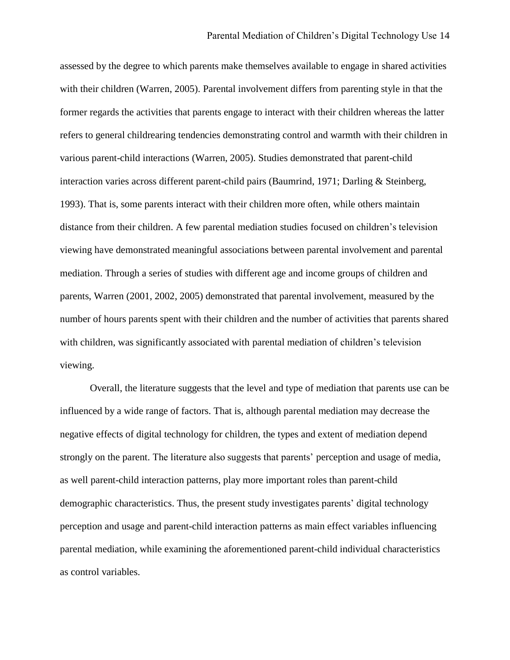assessed by the degree to which parents make themselves available to engage in shared activities with their children (Warren, 2005). Parental involvement differs from parenting style in that the former regards the activities that parents engage to interact with their children whereas the latter refers to general childrearing tendencies demonstrating control and warmth with their children in various parent-child interactions (Warren, 2005). Studies demonstrated that parent-child interaction varies across different parent-child pairs (Baumrind, 1971; Darling & Steinberg, 1993). That is, some parents interact with their children more often, while others maintain distance from their children. A few parental mediation studies focused on children's television viewing have demonstrated meaningful associations between parental involvement and parental mediation. Through a series of studies with different age and income groups of children and parents, Warren (2001, 2002, 2005) demonstrated that parental involvement, measured by the number of hours parents spent with their children and the number of activities that parents shared with children, was significantly associated with parental mediation of children's television viewing.

Overall, the literature suggests that the level and type of mediation that parents use can be influenced by a wide range of factors. That is, although parental mediation may decrease the negative effects of digital technology for children, the types and extent of mediation depend strongly on the parent. The literature also suggests that parents' perception and usage of media, as well parent-child interaction patterns, play more important roles than parent-child demographic characteristics. Thus, the present study investigates parents' digital technology perception and usage and parent-child interaction patterns as main effect variables influencing parental mediation, while examining the aforementioned parent-child individual characteristics as control variables.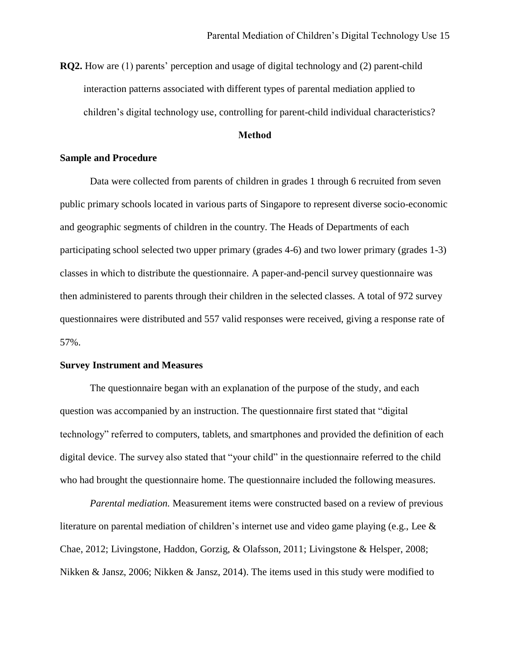**RQ2.** How are (1) parents' perception and usage of digital technology and (2) parent-child interaction patterns associated with different types of parental mediation applied to children's digital technology use, controlling for parent-child individual characteristics?

# **Method**

#### **Sample and Procedure**

Data were collected from parents of children in grades 1 through 6 recruited from seven public primary schools located in various parts of Singapore to represent diverse socio-economic and geographic segments of children in the country. The Heads of Departments of each participating school selected two upper primary (grades 4-6) and two lower primary (grades 1-3) classes in which to distribute the questionnaire. A paper-and-pencil survey questionnaire was then administered to parents through their children in the selected classes. A total of 972 survey questionnaires were distributed and 557 valid responses were received, giving a response rate of 57%.

# **Survey Instrument and Measures**

The questionnaire began with an explanation of the purpose of the study, and each question was accompanied by an instruction. The questionnaire first stated that "digital technology" referred to computers, tablets, and smartphones and provided the definition of each digital device. The survey also stated that "your child" in the questionnaire referred to the child who had brought the questionnaire home. The questionnaire included the following measures.

*Parental mediation.* Measurement items were constructed based on a review of previous literature on parental mediation of children's internet use and video game playing (e.g., Lee  $\&$ Chae, 2012; Livingstone, Haddon, Gorzig, & Olafsson, 2011; Livingstone & Helsper, 2008; Nikken & Jansz, 2006; Nikken & Jansz, 2014). The items used in this study were modified to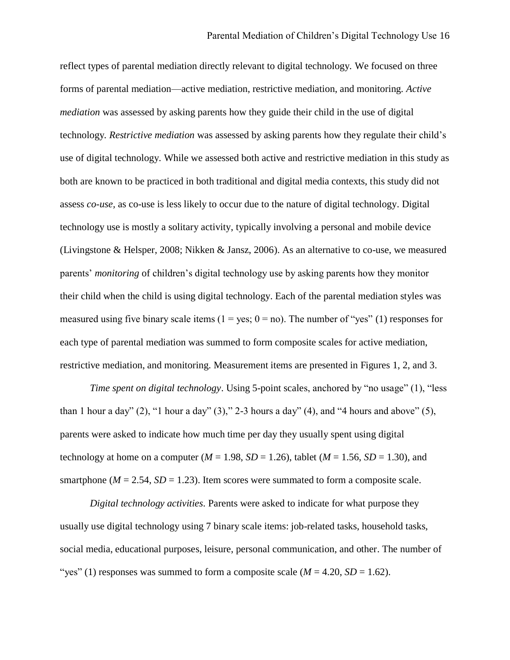reflect types of parental mediation directly relevant to digital technology. We focused on three forms of parental mediation—active mediation, restrictive mediation, and monitoring. *Active mediation* was assessed by asking parents how they guide their child in the use of digital technology*. Restrictive mediation* was assessed by asking parents how they regulate their child's use of digital technology. While we assessed both active and restrictive mediation in this study as both are known to be practiced in both traditional and digital media contexts, this study did not assess *co-use,* as co-use is less likely to occur due to the nature of digital technology. Digital technology use is mostly a solitary activity, typically involving a personal and mobile device (Livingstone & Helsper, 2008; Nikken & Jansz, 2006). As an alternative to co-use, we measured parents' *monitoring* of children's digital technology use by asking parents how they monitor their child when the child is using digital technology. Each of the parental mediation styles was measured using five binary scale items  $(1 = yes; 0 = no)$ . The number of "yes" (1) responses for each type of parental mediation was summed to form composite scales for active mediation, restrictive mediation, and monitoring. Measurement items are presented in Figures 1, 2, and 3.

*Time spent on digital technology*. Using 5-point scales, anchored by "no usage" (1), "less than 1 hour a day"  $(2)$ , "1 hour a day"  $(3)$ ," 2-3 hours a day"  $(4)$ , and "4 hours and above"  $(5)$ , parents were asked to indicate how much time per day they usually spent using digital technology at home on a computer ( $M = 1.98$ ,  $SD = 1.26$ ), tablet ( $M = 1.56$ ,  $SD = 1.30$ ), and smartphone ( $M = 2.54$ ,  $SD = 1.23$ ). Item scores were summated to form a composite scale.

*Digital technology activities.* Parents were asked to indicate for what purpose they usually use digital technology using 7 binary scale items: job-related tasks, household tasks, social media, educational purposes, leisure, personal communication, and other. The number of "yes" (1) responses was summed to form a composite scale  $(M = 4.20, SD = 1.62)$ .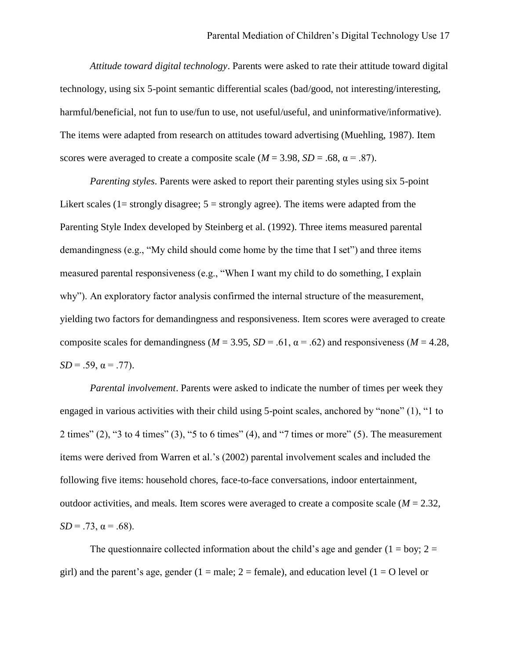*Attitude toward digital technology*. Parents were asked to rate their attitude toward digital technology, using six 5-point semantic differential scales (bad/good, not interesting/interesting, harmful/beneficial, not fun to use/fun to use, not useful/useful, and uninformative/informative). The items were adapted from research on attitudes toward advertising (Muehling, 1987). Item scores were averaged to create a composite scale  $(M = 3.98, SD = .68, \alpha = .87)$ .

*Parenting styles*. Parents were asked to report their parenting styles using six 5-point Likert scales (1= strongly disagree;  $5 =$  strongly agree). The items were adapted from the Parenting Style Index developed by Steinberg et al. (1992). Three items measured parental demandingness (e.g., "My child should come home by the time that I set") and three items measured parental responsiveness (e.g., "When I want my child to do something, I explain why"). An exploratory factor analysis confirmed the internal structure of the measurement, yielding two factors for demandingness and responsiveness. Item scores were averaged to create composite scales for demandingness ( $M = 3.95$ ,  $SD = .61$ ,  $\alpha = .62$ ) and responsiveness ( $M = 4.28$ ,  $SD = .59$ ,  $\alpha = .77$ ).

*Parental involvement*. Parents were asked to indicate the number of times per week they engaged in various activities with their child using 5-point scales, anchored by "none" (1), "1 to 2 times" (2), "3 to 4 times" (3), "5 to 6 times" (4), and "7 times or more" (5). The measurement items were derived from Warren et al.'s (2002) parental involvement scales and included the following five items: household chores, face-to-face conversations, indoor entertainment, outdoor activities, and meals. Item scores were averaged to create a composite scale ( $M = 2.32$ ,  $SD = .73$ ,  $\alpha = .68$ ).

The questionnaire collected information about the child's age and gender ( $1 = boy$ ;  $2 =$ girl) and the parent's age, gender  $(1 = male; 2 = female)$ , and education level  $(1 = O$  level or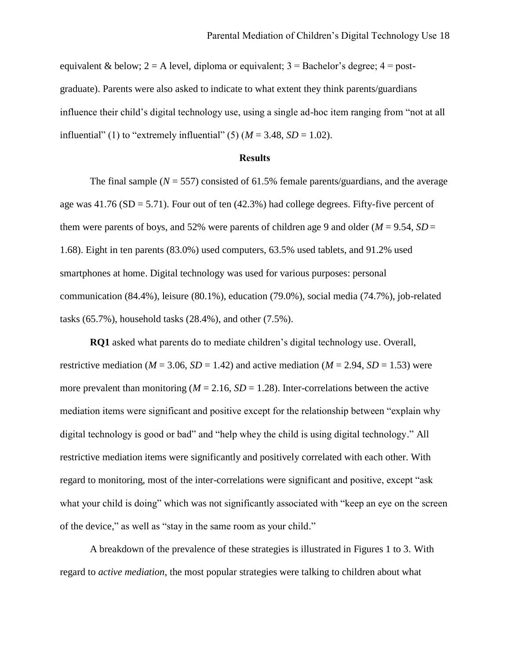equivalent & below;  $2 = A$  level, diploma or equivalent;  $3 = Bachelor's degree$ ;  $4 = post$ graduate). Parents were also asked to indicate to what extent they think parents/guardians influence their child's digital technology use, using a single ad-hoc item ranging from "not at all influential" (1) to "extremely influential" (5)  $(M = 3.48, SD = 1.02)$ .

#### **Results**

The final sample ( $N = 557$ ) consisted of 61.5% female parents/guardians, and the average age was  $41.76$  (SD = 5.71). Four out of ten  $(42.3%)$  had college degrees. Fifty-five percent of them were parents of boys, and 52% were parents of children age 9 and older ( $M = 9.54$ ,  $SD =$ 1.68). Eight in ten parents (83.0%) used computers, 63.5% used tablets, and 91.2% used smartphones at home. Digital technology was used for various purposes: personal communication (84.4%), leisure (80.1%), education (79.0%), social media (74.7%), job-related tasks (65.7%), household tasks (28.4%), and other (7.5%).

**RQ1** asked what parents do to mediate children's digital technology use. Overall, restrictive mediation ( $M = 3.06$ ,  $SD = 1.42$ ) and active mediation ( $M = 2.94$ ,  $SD = 1.53$ ) were more prevalent than monitoring ( $M = 2.16$ ,  $SD = 1.28$ ). Inter-correlations between the active mediation items were significant and positive except for the relationship between "explain why digital technology is good or bad" and "help whey the child is using digital technology." All restrictive mediation items were significantly and positively correlated with each other. With regard to monitoring, most of the inter-correlations were significant and positive, except "ask what your child is doing" which was not significantly associated with "keep an eye on the screen of the device," as well as "stay in the same room as your child."

A breakdown of the prevalence of these strategies is illustrated in Figures 1 to 3. With regard to *active mediation*, the most popular strategies were talking to children about what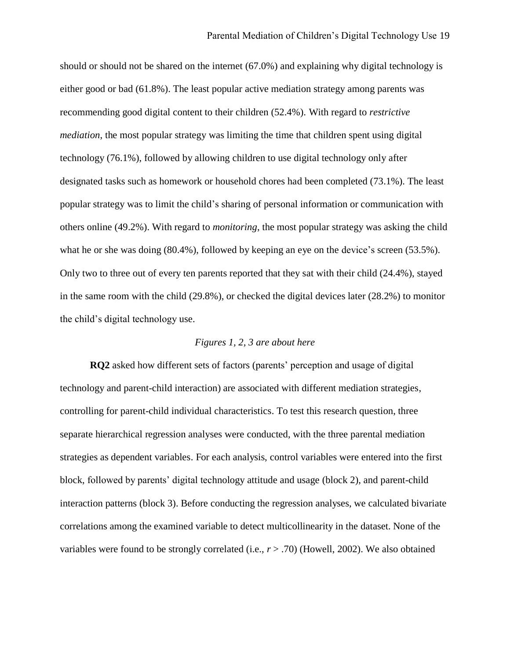should or should not be shared on the internet (67.0%) and explaining why digital technology is either good or bad (61.8%). The least popular active mediation strategy among parents was recommending good digital content to their children (52.4%). With regard to *restrictive mediation*, the most popular strategy was limiting the time that children spent using digital technology (76.1%), followed by allowing children to use digital technology only after designated tasks such as homework or household chores had been completed (73.1%). The least popular strategy was to limit the child's sharing of personal information or communication with others online (49.2%). With regard to *monitoring*, the most popular strategy was asking the child what he or she was doing (80.4%), followed by keeping an eye on the device's screen (53.5%). Only two to three out of every ten parents reported that they sat with their child (24.4%), stayed in the same room with the child  $(29.8\%)$ , or checked the digital devices later  $(28.2\%)$  to monitor the child's digital technology use.

# *Figures 1, 2, 3 are about here*

**RQ2** asked how different sets of factors (parents' perception and usage of digital technology and parent-child interaction) are associated with different mediation strategies, controlling for parent-child individual characteristics. To test this research question, three separate hierarchical regression analyses were conducted, with the three parental mediation strategies as dependent variables. For each analysis, control variables were entered into the first block, followed by parents' digital technology attitude and usage (block 2), and parent-child interaction patterns (block 3). Before conducting the regression analyses, we calculated bivariate correlations among the examined variable to detect multicollinearity in the dataset. None of the variables were found to be strongly correlated (i.e., *r* > .70) (Howell, 2002). We also obtained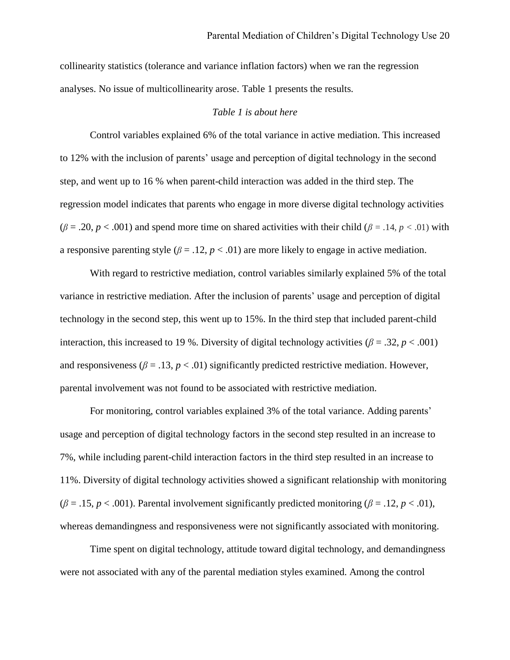collinearity statistics (tolerance and variance inflation factors) when we ran the regression analyses. No issue of multicollinearity arose. Table 1 presents the results.

### *Table 1 is about here*

Control variables explained 6% of the total variance in active mediation. This increased to 12% with the inclusion of parents' usage and perception of digital technology in the second step, and went up to 16 % when parent-child interaction was added in the third step. The regression model indicates that parents who engage in more diverse digital technology activities  $(\beta = .20, p < .001)$  and spend more time on shared activities with their child ( $\beta = .14, p < .01$ ) with a responsive parenting style ( $\beta = .12$ ,  $p < .01$ ) are more likely to engage in active mediation.

With regard to restrictive mediation, control variables similarly explained 5% of the total variance in restrictive mediation. After the inclusion of parents' usage and perception of digital technology in the second step, this went up to 15%. In the third step that included parent-child interaction, this increased to 19 %. Diversity of digital technology activities ( $\beta = .32$ ,  $p < .001$ ) and responsiveness ( $\beta = .13$ ,  $p < .01$ ) significantly predicted restrictive mediation. However, parental involvement was not found to be associated with restrictive mediation.

For monitoring, control variables explained 3% of the total variance. Adding parents' usage and perception of digital technology factors in the second step resulted in an increase to 7%, while including parent-child interaction factors in the third step resulted in an increase to 11%. Diversity of digital technology activities showed a significant relationship with monitoring  $(\beta = .15, p < .001)$ . Parental involvement significantly predicted monitoring ( $\beta = .12, p < .01$ ), whereas demandingness and responsiveness were not significantly associated with monitoring.

Time spent on digital technology, attitude toward digital technology, and demandingness were not associated with any of the parental mediation styles examined. Among the control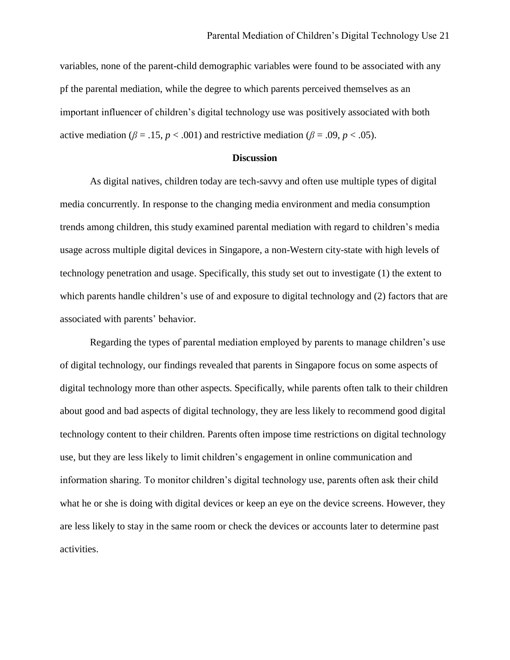variables, none of the parent-child demographic variables were found to be associated with any pf the parental mediation, while the degree to which parents perceived themselves as an important influencer of children's digital technology use was positively associated with both active mediation ( $\beta = .15$ ,  $p < .001$ ) and restrictive mediation ( $\beta = .09$ ,  $p < .05$ ).

#### **Discussion**

As digital natives, children today are tech-savvy and often use multiple types of digital media concurrently. In response to the changing media environment and media consumption trends among children, this study examined parental mediation with regard to children's media usage across multiple digital devices in Singapore, a non-Western city-state with high levels of technology penetration and usage. Specifically, this study set out to investigate (1) the extent to which parents handle children's use of and exposure to digital technology and (2) factors that are associated with parents' behavior.

Regarding the types of parental mediation employed by parents to manage children's use of digital technology, our findings revealed that parents in Singapore focus on some aspects of digital technology more than other aspects. Specifically, while parents often talk to their children about good and bad aspects of digital technology, they are less likely to recommend good digital technology content to their children. Parents often impose time restrictions on digital technology use, but they are less likely to limit children's engagement in online communication and information sharing. To monitor children's digital technology use, parents often ask their child what he or she is doing with digital devices or keep an eye on the device screens. However, they are less likely to stay in the same room or check the devices or accounts later to determine past activities.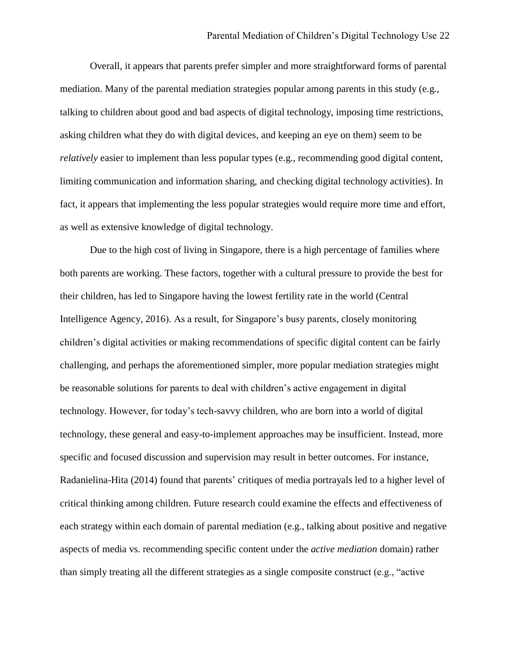Overall, it appears that parents prefer simpler and more straightforward forms of parental mediation. Many of the parental mediation strategies popular among parents in this study (e.g., talking to children about good and bad aspects of digital technology, imposing time restrictions, asking children what they do with digital devices, and keeping an eye on them) seem to be *relatively* easier to implement than less popular types (e.g., recommending good digital content, limiting communication and information sharing, and checking digital technology activities). In fact, it appears that implementing the less popular strategies would require more time and effort, as well as extensive knowledge of digital technology.

Due to the high cost of living in Singapore, there is a high percentage of families where both parents are working. These factors, together with a cultural pressure to provide the best for their children, has led to Singapore having the lowest fertility rate in the world (Central Intelligence Agency, 2016). As a result, for Singapore's busy parents, closely monitoring children's digital activities or making recommendations of specific digital content can be fairly challenging, and perhaps the aforementioned simpler, more popular mediation strategies might be reasonable solutions for parents to deal with children's active engagement in digital technology. However, for today's tech-savvy children, who are born into a world of digital technology, these general and easy-to-implement approaches may be insufficient. Instead, more specific and focused discussion and supervision may result in better outcomes. For instance, Radanielina-Hita (2014) found that parents' critiques of media portrayals led to a higher level of critical thinking among children. Future research could examine the effects and effectiveness of each strategy within each domain of parental mediation (e.g., talking about positive and negative aspects of media vs. recommending specific content under the *active mediation* domain) rather than simply treating all the different strategies as a single composite construct (e.g., "active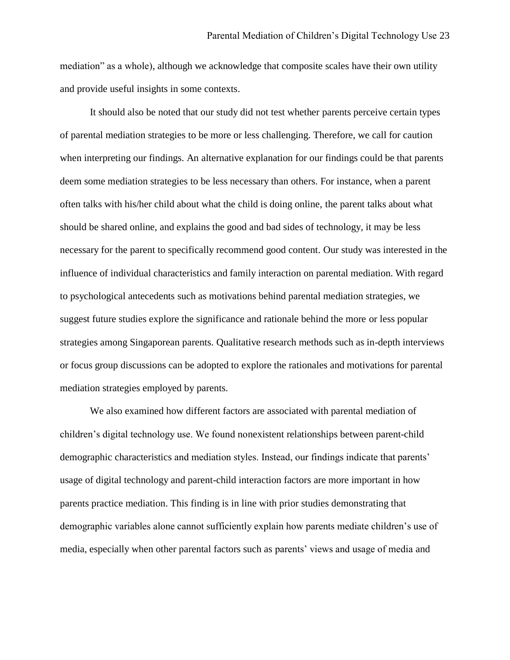mediation" as a whole), although we acknowledge that composite scales have their own utility and provide useful insights in some contexts.

It should also be noted that our study did not test whether parents perceive certain types of parental mediation strategies to be more or less challenging. Therefore, we call for caution when interpreting our findings. An alternative explanation for our findings could be that parents deem some mediation strategies to be less necessary than others. For instance, when a parent often talks with his/her child about what the child is doing online, the parent talks about what should be shared online, and explains the good and bad sides of technology, it may be less necessary for the parent to specifically recommend good content. Our study was interested in the influence of individual characteristics and family interaction on parental mediation. With regard to psychological antecedents such as motivations behind parental mediation strategies, we suggest future studies explore the significance and rationale behind the more or less popular strategies among Singaporean parents. Qualitative research methods such as in-depth interviews or focus group discussions can be adopted to explore the rationales and motivations for parental mediation strategies employed by parents.

We also examined how different factors are associated with parental mediation of children's digital technology use. We found nonexistent relationships between parent-child demographic characteristics and mediation styles. Instead, our findings indicate that parents' usage of digital technology and parent-child interaction factors are more important in how parents practice mediation. This finding is in line with prior studies demonstrating that demographic variables alone cannot sufficiently explain how parents mediate children's use of media, especially when other parental factors such as parents' views and usage of media and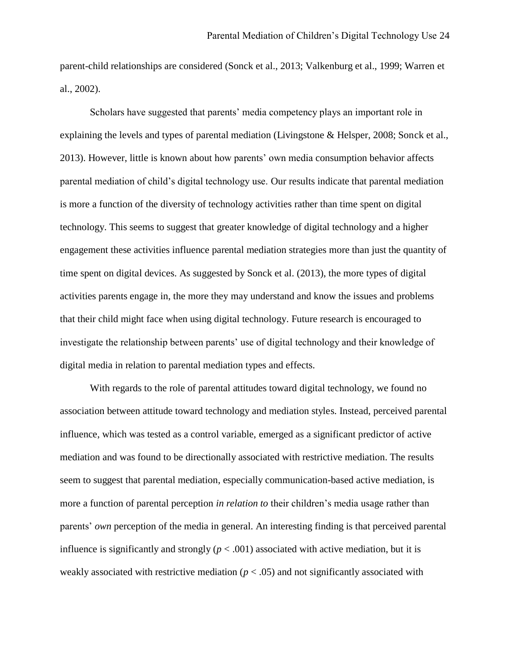parent-child relationships are considered (Sonck et al., 2013; Valkenburg et al., 1999; Warren et al., 2002).

Scholars have suggested that parents' media competency plays an important role in explaining the levels and types of parental mediation (Livingstone & Helsper, 2008; Sonck et al., 2013). However, little is known about how parents' own media consumption behavior affects parental mediation of child's digital technology use. Our results indicate that parental mediation is more a function of the diversity of technology activities rather than time spent on digital technology. This seems to suggest that greater knowledge of digital technology and a higher engagement these activities influence parental mediation strategies more than just the quantity of time spent on digital devices. As suggested by Sonck et al. (2013), the more types of digital activities parents engage in, the more they may understand and know the issues and problems that their child might face when using digital technology. Future research is encouraged to investigate the relationship between parents' use of digital technology and their knowledge of digital media in relation to parental mediation types and effects.

With regards to the role of parental attitudes toward digital technology, we found no association between attitude toward technology and mediation styles. Instead, perceived parental influence, which was tested as a control variable, emerged as a significant predictor of active mediation and was found to be directionally associated with restrictive mediation. The results seem to suggest that parental mediation, especially communication-based active mediation, is more a function of parental perception *in relation to* their children's media usage rather than parents' *own* perception of the media in general. An interesting finding is that perceived parental influence is significantly and strongly  $(p < .001)$  associated with active mediation, but it is weakly associated with restrictive mediation ( $p < .05$ ) and not significantly associated with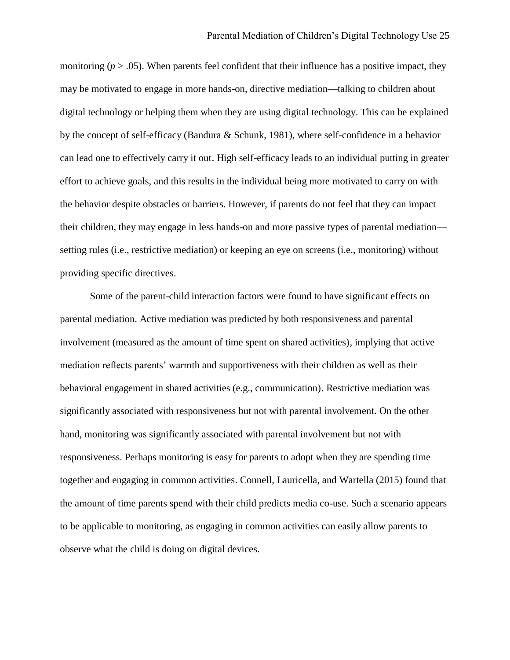monitoring  $(p > .05)$ . When parents feel confident that their influence has a positive impact, they may be motivated to engage in more hands-on, directive mediation—talking to children about digital technology or helping them when they are using digital technology. This can be explained by the concept of self-efficacy (Bandura & Schunk, 1981), where self-confidence in a behavior can lead one to effectively carry it out. High self-efficacy leads to an individual putting in greater effort to achieve goals, and this results in the individual being more motivated to carry on with the behavior despite obstacles or barriers. However, if parents do not feel that they can impact their children, they may engage in less hands-on and more passive types of parental mediation setting rules (i.e., restrictive mediation) or keeping an eye on screens (i.e., monitoring) without providing specific directives.

Some of the parent-child interaction factors were found to have significant effects on parental mediation. Active mediation was predicted by both responsiveness and parental involvement (measured as the amount of time spent on shared activities), implying that active mediation reflects parents' warmth and supportiveness with their children as well as their behavioral engagement in shared activities (e.g., communication). Restrictive mediation was significantly associated with responsiveness but not with parental involvement. On the other hand, monitoring was significantly associated with parental involvement but not with responsiveness. Perhaps monitoring is easy for parents to adopt when they are spending time together and engaging in common activities. Connell, Lauricella, and Wartella (2015) found that the amount of time parents spend with their child predicts media co-use. Such a scenario appears to be applicable to monitoring, as engaging in common activities can easily allow parents to observe what the child is doing on digital devices.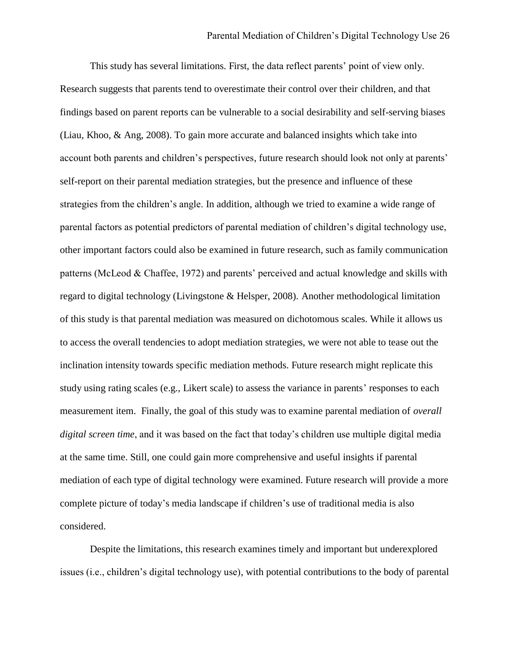This study has several limitations. First, the data reflect parents' point of view only. Research suggests that parents tend to overestimate their control over their children, and that findings based on parent reports can be vulnerable to a social desirability and self-serving biases (Liau, Khoo, & Ang, 2008). To gain more accurate and balanced insights which take into account both parents and children's perspectives, future research should look not only at parents' self-report on their parental mediation strategies, but the presence and influence of these strategies from the children's angle. In addition, although we tried to examine a wide range of parental factors as potential predictors of parental mediation of children's digital technology use, other important factors could also be examined in future research, such as family communication patterns (McLeod & Chaffee, 1972) and parents' perceived and actual knowledge and skills with regard to digital technology (Livingstone & Helsper, 2008). Another methodological limitation of this study is that parental mediation was measured on dichotomous scales. While it allows us to access the overall tendencies to adopt mediation strategies, we were not able to tease out the inclination intensity towards specific mediation methods. Future research might replicate this study using rating scales (e.g., Likert scale) to assess the variance in parents' responses to each measurement item. Finally, the goal of this study was to examine parental mediation of *overall digital screen time*, and it was based on the fact that today's children use multiple digital media at the same time. Still, one could gain more comprehensive and useful insights if parental mediation of each type of digital technology were examined. Future research will provide a more complete picture of today's media landscape if children's use of traditional media is also considered.

Despite the limitations, this research examines timely and important but underexplored issues (i.e., children's digital technology use), with potential contributions to the body of parental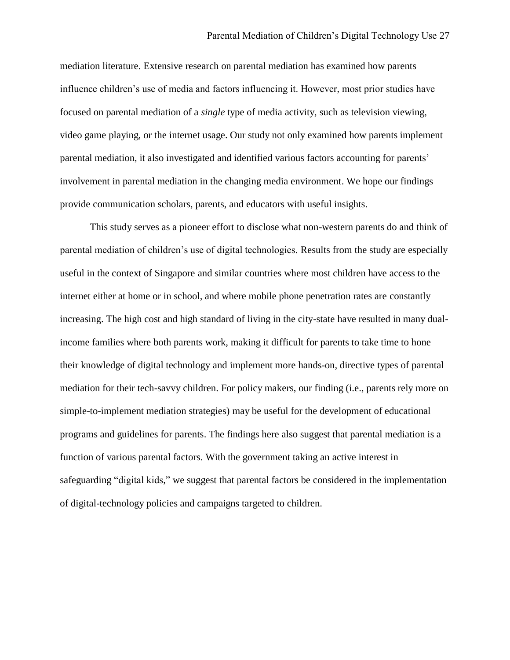mediation literature. Extensive research on parental mediation has examined how parents influence children's use of media and factors influencing it. However, most prior studies have focused on parental mediation of a *single* type of media activity, such as television viewing, video game playing, or the internet usage. Our study not only examined how parents implement parental mediation, it also investigated and identified various factors accounting for parents' involvement in parental mediation in the changing media environment. We hope our findings provide communication scholars, parents, and educators with useful insights.

This study serves as a pioneer effort to disclose what non-western parents do and think of parental mediation of children's use of digital technologies. Results from the study are especially useful in the context of Singapore and similar countries where most children have access to the internet either at home or in school, and where mobile phone penetration rates are constantly increasing. The high cost and high standard of living in the city-state have resulted in many dualincome families where both parents work, making it difficult for parents to take time to hone their knowledge of digital technology and implement more hands-on, directive types of parental mediation for their tech-savvy children. For policy makers, our finding (i.e., parents rely more on simple-to-implement mediation strategies) may be useful for the development of educational programs and guidelines for parents. The findings here also suggest that parental mediation is a function of various parental factors. With the government taking an active interest in safeguarding "digital kids," we suggest that parental factors be considered in the implementation of digital-technology policies and campaigns targeted to children.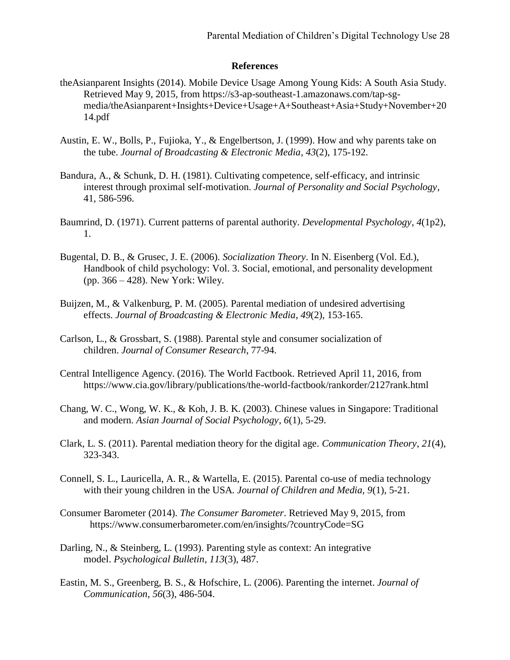# **References**

- theAsianparent Insights (2014). Mobile Device Usage Among Young Kids: A South Asia Study. Retrieved May 9, 2015, from https://s3-ap-southeast-1.amazonaws.com/tap-sgmedia/theAsianparent+Insights+Device+Usage+A+Southeast+Asia+Study+November+20 14.pdf
- Austin, E. W., Bolls, P., Fujioka, Y., & Engelbertson, J. (1999). How and why parents take on the tube. *Journal of Broadcasting & Electronic Media*, *43*(2), 175-192.
- Bandura, A., & Schunk, D. H. (1981). Cultivating competence, self-efficacy, and intrinsic interest through proximal self-motivation. *Journal of Personality and Social Psychology*, 41, 586-596.
- Baumrind, D. (1971). Current patterns of parental authority. *Developmental Psychology*, *4*(1p2), 1.
- Bugental, D. B., & Grusec, J. E. (2006). *Socialization Theory*. In N. Eisenberg (Vol. Ed.), Handbook of child psychology: Vol. 3. Social, emotional, and personality development (pp. 366 – 428). New York: Wiley.
- Buijzen, M., & Valkenburg, P. M. (2005). Parental mediation of undesired advertising effects. *Journal of Broadcasting & Electronic Media*, *49*(2), 153-165.
- Carlson, L., & Grossbart, S. (1988). Parental style and consumer socialization of children. *Journal of Consumer Research*, 77-94.
- Central Intelligence Agency. (2016). The World Factbook. Retrieved April 11, 2016, from https://www.cia.gov/library/publications/the-world-factbook/rankorder/2127rank.html
- Chang, W. C., Wong, W. K., & Koh, J. B. K. (2003). Chinese values in Singapore: Traditional and modern. *Asian Journal of Social Psychology*, *6*(1), 5-29.
- Clark, L. S. (2011). Parental mediation theory for the digital age. *Communication Theory*, *21*(4), 323-343.
- Connell, S. L., Lauricella, A. R., & Wartella, E. (2015). Parental co-use of media technology with their young children in the USA. *Journal of Children and Media, 9*(1), 5-21.
- Consumer Barometer (2014). *The Consumer Barometer*. Retrieved May 9, 2015, from https://www.consumerbarometer.com/en/insights/?countryCode=SG
- Darling, N., & Steinberg, L. (1993). Parenting style as context: An integrative model. *Psychological Bulletin*, *113*(3), 487.
- Eastin, M. S., Greenberg, B. S., & Hofschire, L. (2006). Parenting the internet. *Journal of Communication*, *56*(3), 486-504.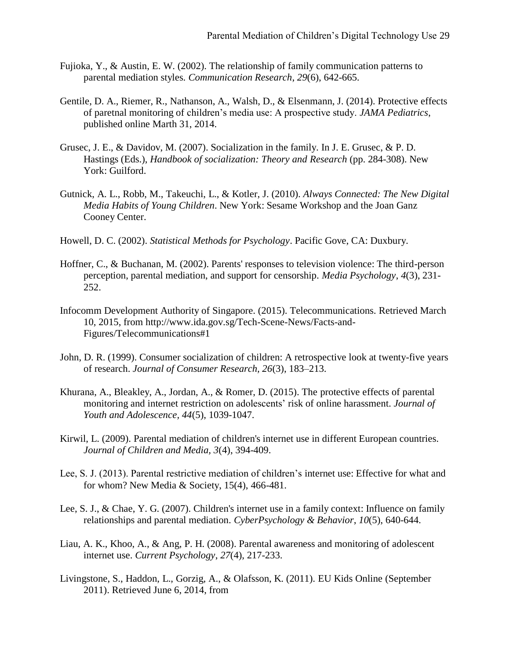- Fujioka, Y., & Austin, E. W. (2002). The relationship of family communication patterns to parental mediation styles. *Communication Research*, *29*(6), 642-665.
- Gentile, D. A., Riemer, R., Nathanson, A., Walsh, D., & Elsenmann, J. (2014). Protective effects of paretnal monitoring of children's media use: A prospective study. *JAMA Pediatrics*, published online Marth 31, 2014.
- Grusec, J. E., & Davidov, M. (2007). Socialization in the family. In J. E. Grusec, & P. D. Hastings (Eds.), *Handbook of socialization: Theory and Research* (pp. 284-308). New York: Guilford.
- Gutnick, A. L., Robb, M., Takeuchi, L., & Kotler, J. (2010). *Always Connected: The New Digital Media Habits of Young Children*. New York: Sesame Workshop and the Joan Ganz Cooney Center.
- Howell, D. C. (2002). *Statistical Methods for Psychology*. Pacific Gove, CA: Duxbury.
- Hoffner, C., & Buchanan, M. (2002). Parents' responses to television violence: The third-person perception, parental mediation, and support for censorship. *Media Psychology*, *4*(3), 231- 252.
- Infocomm Development Authority of Singapore. (2015). Telecommunications. Retrieved March 10, 2015, from http://www.ida.gov.sg/Tech-Scene-News/Facts-and-Figures/Telecommunications#1
- John, D. R. (1999). Consumer socialization of children: A retrospective look at twenty-five years of research. *Journal of Consumer Research, 26*(3), 183–213.
- Khurana, A., Bleakley, A., Jordan, A., & Romer, D. (2015). The protective effects of parental monitoring and internet restriction on adolescents' risk of online harassment. *Journal of Youth and Adolescence, 44*(5), 1039-1047.
- Kirwil, L. (2009). Parental mediation of children's internet use in different European countries. *Journal of Children and Media, 3*(4), 394-409.
- Lee, S. J. (2013). Parental restrictive mediation of children's internet use: Effective for what and for whom? New Media & Society, 15(4), 466-481.
- Lee, S. J., & Chae, Y. G. (2007). Children's internet use in a family context: Influence on family relationships and parental mediation. *CyberPsychology & Behavior*, *10*(5), 640-644.
- Liau, A. K., Khoo, A., & Ang, P. H. (2008). Parental awareness and monitoring of adolescent internet use. *Current Psychology*, *27*(4), 217-233.
- Livingstone, S., Haddon, L., Gorzig, A., & Olafsson, K. (2011). EU Kids Online (September 2011). Retrieved June 6, 2014, from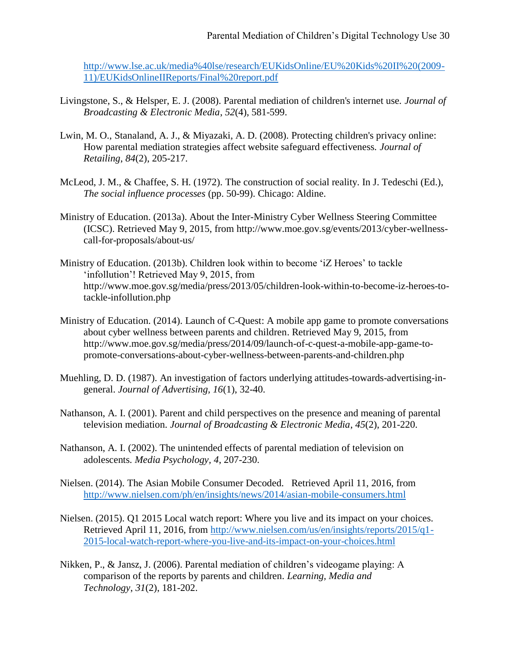[http://www.lse.ac.uk/media%40lse/research/EUKidsOnline/EU%20Kids%20II%20\(2009-](http://www.lse.ac.uk/media%40lse/research/EUKidsOnline/EU%20Kids%20II%20(2009-11)/EUKidsOnlineIIReports/Final%20report.pdf) [11\)/EUKidsOnlineIIReports/Final%20report.pdf](http://www.lse.ac.uk/media%40lse/research/EUKidsOnline/EU%20Kids%20II%20(2009-11)/EUKidsOnlineIIReports/Final%20report.pdf)

- Livingstone, S., & Helsper, E. J. (2008). Parental mediation of children's internet use. *Journal of Broadcasting & Electronic Media*, *52*(4), 581-599.
- Lwin, M. O., Stanaland, A. J., & Miyazaki, A. D. (2008). Protecting children's privacy online: How parental mediation strategies affect website safeguard effectiveness. *Journal of Retailing*, *84*(2), 205-217.
- McLeod, J. M., & Chaffee, S. H. (1972). The construction of social reality. In J. Tedeschi (Ed.), *The social influence processes* (pp. 50-99). Chicago: Aldine.
- Ministry of Education. (2013a). About the Inter-Ministry Cyber Wellness Steering Committee (ICSC). Retrieved May 9, 2015, from http://www.moe.gov.sg/events/2013/cyber-wellnesscall-for-proposals/about-us/
- Ministry of Education. (2013b). Children look within to become 'iZ Heroes' to tackle 'infollution'! Retrieved May 9, 2015, from http://www.moe.gov.sg/media/press/2013/05/children-look-within-to-become-iz-heroes-totackle-infollution.php
- Ministry of Education. (2014). Launch of C-Quest: A mobile app game to promote conversations about cyber wellness between parents and children. Retrieved May 9, 2015, from http://www.moe.gov.sg/media/press/2014/09/launch-of-c-quest-a-mobile-app-game-topromote-conversations-about-cyber-wellness-between-parents-and-children.php
- Muehling, D. D. (1987). An investigation of factors underlying attitudes-towards-advertising-ingeneral. *Journal of Advertising, 16*(1), 32-40.
- Nathanson, A. I. (2001). Parent and child perspectives on the presence and meaning of parental television mediation. *Journal of Broadcasting & Electronic Media*, *45*(2), 201-220.
- Nathanson, A. I. (2002). The unintended effects of parental mediation of television on adolescents. *Media Psychology, 4*, 207-230.
- Nielsen. (2014). The Asian Mobile Consumer Decoded. Retrieved April 11, 2016, from <http://www.nielsen.com/ph/en/insights/news/2014/asian-mobile-consumers.html>
- Nielsen. (2015). Q1 2015 Local watch report: Where you live and its impact on your choices. Retrieved April 11, 2016, from [http://www.nielsen.com/us/en/insights/reports/2015/q1-](http://www.nielsen.com/us/en/insights/reports/2015/q1-2015-local-watch-report-where-you-live-and-its-impact-on-your-choices.html) [2015-local-watch-report-where-you-live-and-its-impact-on-your-choices.html](http://www.nielsen.com/us/en/insights/reports/2015/q1-2015-local-watch-report-where-you-live-and-its-impact-on-your-choices.html)
- Nikken, P., & Jansz, J. (2006). Parental mediation of children's videogame playing: A comparison of the reports by parents and children. *Learning, Media and Technology*, *31*(2), 181-202.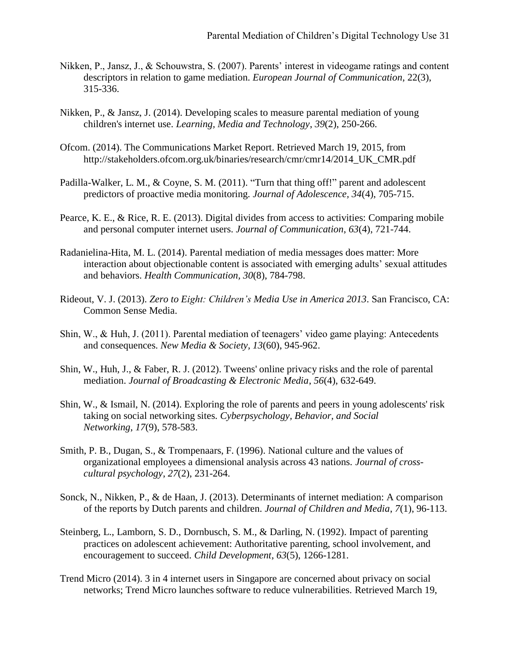- Nikken, P., Jansz, J., & Schouwstra, S. (2007). Parents' interest in videogame ratings and content descriptors in relation to game mediation. *European Journal of Communication*, 22(3), 315-336.
- Nikken, P., & Jansz, J. (2014). Developing scales to measure parental mediation of young children's internet use. *Learning, Media and Technology*, *39*(2), 250-266.
- Ofcom. (2014). The Communications Market Report. Retrieved March 19, 2015, from http://stakeholders.ofcom.org.uk/binaries/research/cmr/cmr14/2014\_UK\_CMR.pdf
- Padilla-Walker, L. M., & Coyne, S. M. (2011). "Turn that thing off!" parent and adolescent predictors of proactive media monitoring. *Journal of Adolescence, 34*(4), 705-715.
- Pearce, K. E., & Rice, R. E. (2013). Digital divides from access to activities: Comparing mobile and personal computer internet users. *Journal of Communication*, *63*(4), 721-744.
- Radanielina-Hita, M. L. (2014). Parental mediation of media messages does matter: More interaction about objectionable content is associated with emerging adults' sexual attitudes and behaviors. *Health Communication, 30*(8), 784-798.
- Rideout, V. J. (2013). *Zero to Eight: Children's Media Use in America 2013*. San Francisco, CA: Common Sense Media.
- Shin, W., & Huh, J. (2011). Parental mediation of teenagers' video game playing: Antecedents and consequences. *New Media & Society, 13*(60), 945-962.
- Shin, W., Huh, J., & Faber, R. J. (2012). Tweens' online privacy risks and the role of parental mediation. *Journal of Broadcasting & Electronic Media*, *56*(4), 632-649.
- Shin, W., & Ismail, N. (2014). Exploring the role of parents and peers in young adolescents' risk taking on social networking sites. *Cyberpsychology, Behavior, and Social Networking*, *17*(9), 578-583.
- Smith, P. B., Dugan, S., & Trompenaars, F. (1996). National culture and the values of organizational employees a dimensional analysis across 43 nations. *Journal of crosscultural psychology*, *27*(2), 231-264.
- Sonck, N., Nikken, P., & de Haan, J. (2013). Determinants of internet mediation: A comparison of the reports by Dutch parents and children. *Journal of Children and Media*, *7*(1), 96-113.
- Steinberg, L., Lamborn, S. D., Dornbusch, S. M., & Darling, N. (1992). Impact of parenting practices on adolescent achievement: Authoritative parenting, school involvement, and encouragement to succeed. *Child Development*, *63*(5), 1266-1281.
- Trend Micro (2014). 3 in 4 internet users in Singapore are concerned about privacy on social networks; Trend Micro launches software to reduce vulnerabilities. Retrieved March 19,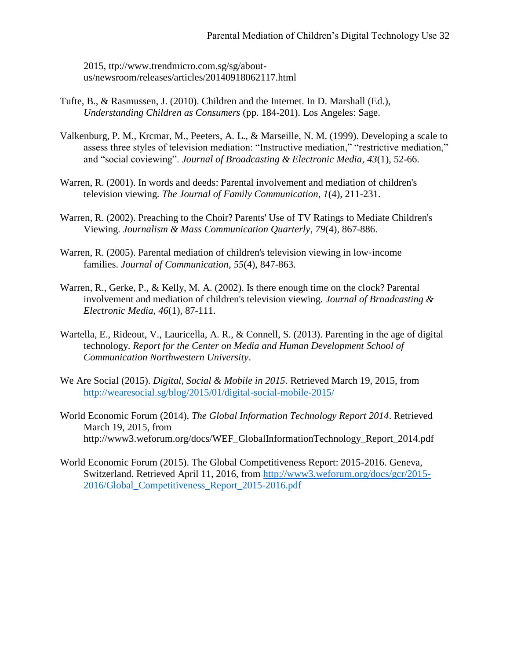2015, ttp://www.trendmicro.com.sg/sg/aboutus/newsroom/releases/articles/20140918062117.html

- Tufte, B., & Rasmussen, J. (2010). Children and the Internet. In D. Marshall (Ed.), *Understanding Children as Consumers* (pp. 184-201). Los Angeles: Sage.
- Valkenburg, P. M., Krcmar, M., Peeters, A. L., & Marseille, N. M. (1999). Developing a scale to assess three styles of television mediation: "Instructive mediation," "restrictive mediation," and "social coviewing". *Journal of Broadcasting & Electronic Media*, *43*(1), 52-66.
- Warren, R. (2001). In words and deeds: Parental involvement and mediation of children's television viewing. *The Journal of Family Communication*, *1*(4), 211-231.
- Warren, R. (2002). Preaching to the Choir? Parents' Use of TV Ratings to Mediate Children's Viewing. *Journalism & Mass Communication Quarterly*, *79*(4), 867-886.
- Warren, R. (2005). Parental mediation of children's television viewing in low‐income families. *Journal of Communication*, *55*(4), 847-863.
- Warren, R., Gerke, P., & Kelly, M. A. (2002). Is there enough time on the clock? Parental involvement and mediation of children's television viewing. *Journal of Broadcasting & Electronic Media*, *46*(1), 87-111.
- Wartella, E., Rideout, V., Lauricella, A. R., & Connell, S. (2013). Parenting in the age of digital technology. *Report for the Center on Media and Human Development School of Communication Northwestern University*.
- We Are Social (2015). *Digital, Social & Mobile in 2015*. Retrieved March 19, 2015, from <http://wearesocial.sg/blog/2015/01/digital-social-mobile-2015/>
- World Economic Forum (2014). *The Global Information Technology Report 2014*. Retrieved March 19, 2015, from http://www3.weforum.org/docs/WEF\_GlobalInformationTechnology\_Report\_2014.pdf
- World Economic Forum (2015). The Global Competitiveness Report: 2015-2016. Geneva, Switzerland. Retrieved April 11, 2016, from [http://www3.weforum.org/docs/gcr/2015-](http://www3.weforum.org/docs/gcr/2015-2016/Global_Competitiveness_Report_2015-2016.pdf) [2016/Global\\_Competitiveness\\_Report\\_2015-2016.pdf](http://www3.weforum.org/docs/gcr/2015-2016/Global_Competitiveness_Report_2015-2016.pdf)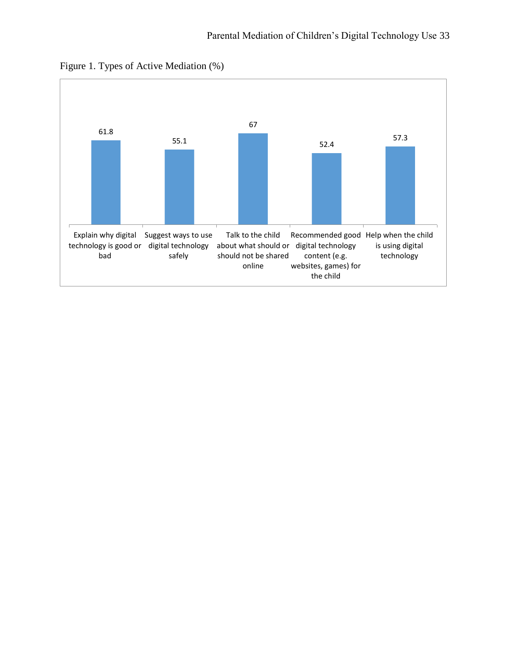

Figure 1. Types of Active Mediation (%)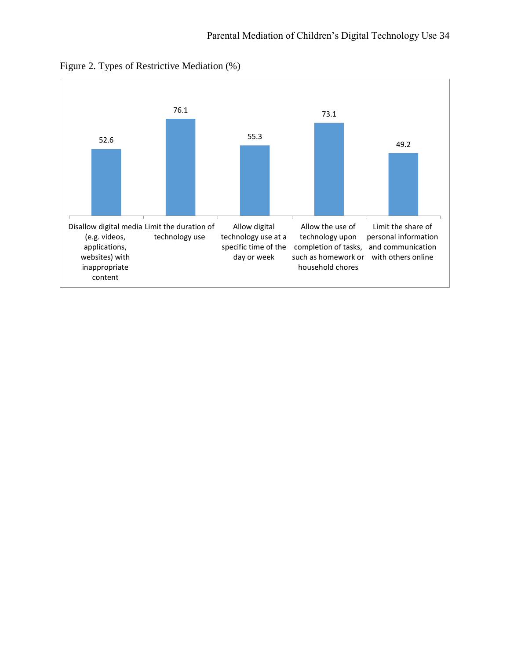

Figure 2. Types of Restrictive Mediation (%)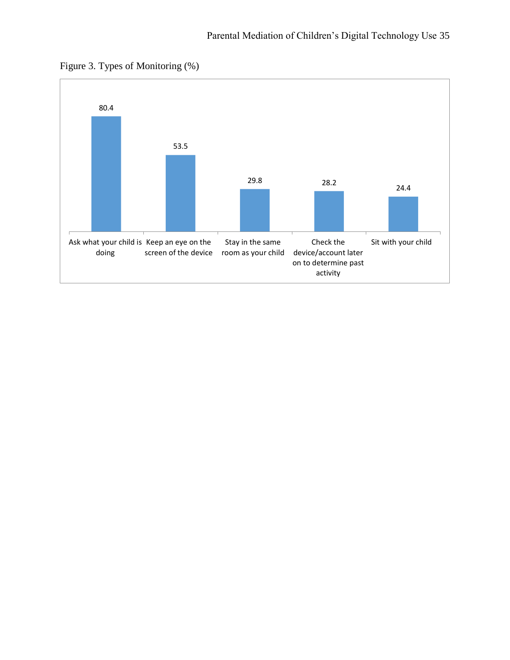

Figure 3. Types of Monitoring (%)